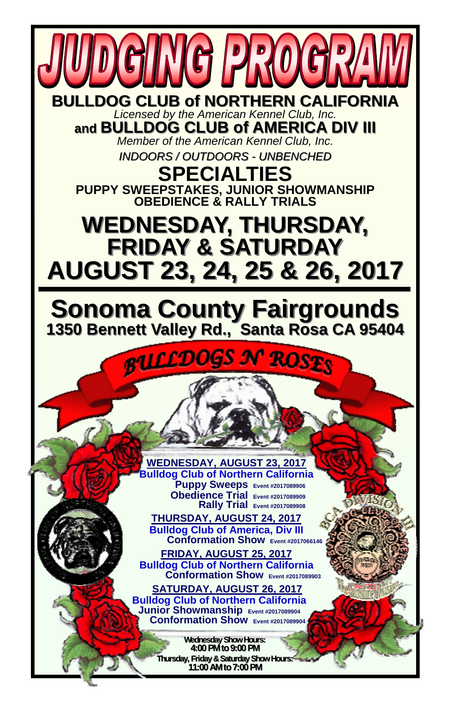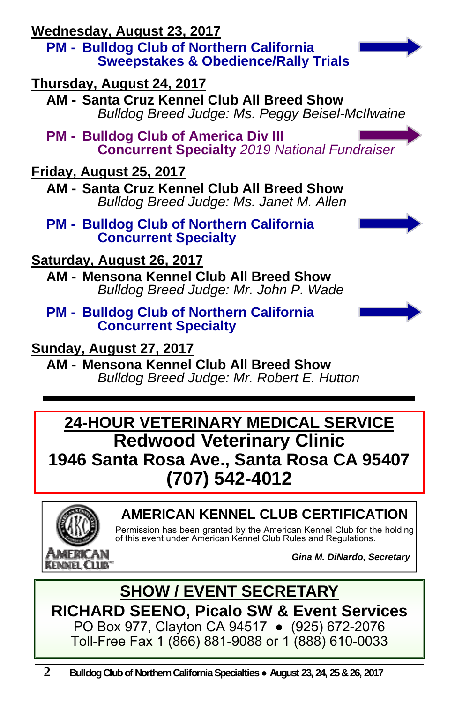**Wednesday, August 23, 2017**

**PM - Bulldog Club of Northern California Sweepstakes & Obedience/Rally Trials** 

**Thursday, August 24, 2017**

**AM - Santa Cruz Kennel Club All Breed Show**  *Bulldog Breed Judge: Ms. Peggy Beisel-McIlwaine* 

**PM - Bulldog Club of America Div III**<br>**Concurrent Specialty** 2019 National Fundraiser

### **Friday, August 25, 2017**

**AM - Santa Cruz Kennel Club All Breed Show**  *Bulldog Breed Judge: Ms. Janet M. Allen* 

**PM - Bulldog Club of Northern California Concurrent Specialty** 



### **Saturday, August 26, 2017**

**AM - Mensona Kennel Club All Breed Show**  *Bulldog Breed Judge: Mr. John P. Wade* 

# **PM - Bulldog Club of Northern California Concurrent Specialty**

**Sunday, August 27, 2017**

**AM - Mensona Kennel Club All Breed Show**  *Bulldog Breed Judge: Mr. Robert E. Hutton* 

### **24-HOUR VETERINARY MEDICAL SERVICE Redwood Veterinary Clinic 1946 Santa Rosa Ave., Santa Rosa CA 95407 (707) 542-4012**



### **AMERICAN KENNEL CLUB CERTIFICATION**

Permission has been granted by the American Kennel Club for the holding of this event under American Kennel Club Rules and Regulations.

*Gina M. DiNardo, Secretary*

**SHOW / EVENT SECRETARY RICHARD SEENO, Picalo SW & Event Services**  PO Box 977, Clayton CA 94517 ● (925) 672-2076 Toll-Free Fax 1 (866) 881-9088 or 1 (888) 610-0033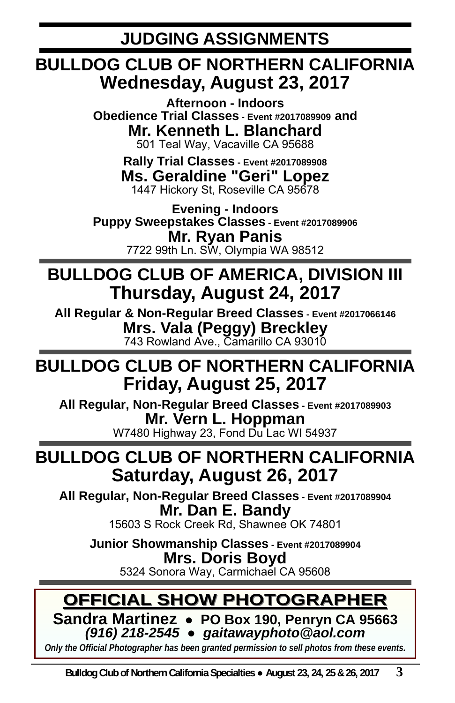**JUDGING ASSIGNMENTS** 

### **BULLDOG CLUB OF NORTHERN CALIFORNIA Wednesday, August 23, 2017**

**Afternoon - Indoors Obedience Trial Classes - Event #2017089909 and Mr. Kenneth L. Blanchard**  501 Teal Way, Vacaville CA 95688

> **Rally Trial Classes - Event #2017089908 Ms. Geraldine "Geri" Lopez**  1447 Hickory St, Roseville CA 95678

**Evening - Indoors Puppy Sweepstakes Classes - Event #2017089906 Mr. Ryan Panis**  7722 99th Ln. SW, Olympia WA 98512

### **BULLDOG CLUB OF AMERICA, DIVISION III Thursday, August 24, 2017**

**All Regular & Non-Regular Breed Classes - Event #2017066146 Mrs. Vala (Peggy) Breckley**  743 Rowland Ave., Camarillo CA 93010

### **BULLDOG CLUB OF NORTHERN CALIFORNIA Friday, August 25, 2017**

**All Regular, Non-Regular Breed Classes - Event #2017089903 Mr. Vern L. Hoppman**  W7480 Highway 23, Fond Du Lac WI 54937

### **BULLDOG CLUB OF NORTHERN CALIFORNIA Saturday, August 26, 2017**

**All Regular, Non-Regular Breed Classes - Event #2017089904 Mr. Dan E. Bandy** 

15603 S Rock Creek Rd, Shawnee OK 74801

**Junior Showmanship Classes - Event #2017089904 Mrs. Doris Boyd**  5324 Sonora Way, Carmichael CA 95608

### **OFFICIAL SHOW PHOTOGRAPHER OFFICIAL SHOW PHOTOGRAPHER**

**Sandra Martinez** ● **PO Box 190, Penryn CA 95663** *(916) 218-2545* ● *gaitawayphoto@aol.com* 

*Only the Official Photographer has been granted permission to sell photos from these events.*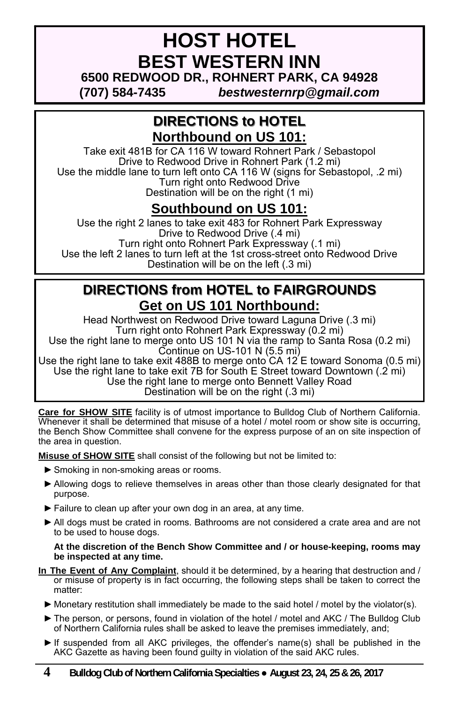### **HOST HOTEL BEST WESTERN INN 6500 REDWOOD DR., ROHNERT PARK, CA 94928**

**(707) 584-7435** *bestwesternrp@gmail.com*

#### **DIRECTIONS to HOTEL DIRECTIONS to HOTEL Northbound on US 101:**

Take exit 481B for CA 116 W toward Rohnert Park / Sebastopol Drive to Redwood Drive in Rohnert Park (1.2 mi) Use the middle lane to turn left onto CA 116 W (signs for Sebastopol, .2 mi) Turn right onto Redwood Drive Destination will be on the right (1 mi)

### **Southbound on US 101:**

Use the right 2 lanes to take exit 483 for Rohnert Park Expressway Drive to Redwood Drive (.4 mi) Turn right onto Rohnert Park Expressway (.1 mi) Use the left 2 lanes to turn left at the 1st cross-street onto Redwood Drive Destination will be on the left (.3 mi)

#### **DIRECTIONS from HOTEL to FAIRGROUNDS Get on US 101 Northbound:**

Head Northwest on Redwood Drive toward Laguna Drive (.3 mi) Turn right onto Rohnert Park Expressway (0.2 mi) Use the right lane to merge onto US 101 N via the ramp to Santa Rosa (0.2 mi) Continue on US-101 N (5.5 mi)

Use the right lane to take exit 488B to merge onto  $CA\ 12\,E$  toward Sonoma (0.5 mi) Use the right lane to take exit 7B for South E Street toward Downtown (.2 mi) Use the right lane to merge onto Bennett Valley Road Destination will be on the right (.3 mi)

**Care for SHOW SITE** facility is of utmost importance to Bulldog Club of Northern California. Whenever it shall be determined that misuse of a hotel / motel room or show site is occurring, the Bench Show Committee shall convene for the express purpose of an on site inspection of the area in question.

**Misuse of SHOW SITE** shall consist of the following but not be limited to:

- ► Smoking in non-smoking areas or rooms.
- ► Allowing dogs to relieve themselves in areas other than those clearly designated for that purpose.
- ► Failure to clean up after your own dog in an area, at any time.
- ► All dogs must be crated in rooms. Bathrooms are not considered a crate area and are not to be used to house dogs.

#### **At the discretion of the Bench Show Committee and / or house-keeping, rooms may be inspected at any time.**

- **In The Event of Any Complaint**, should it be determined, by a hearing that destruction and / or misuse of property is in fact occurring, the following steps shall be taken to correct the matter:
	- ► Monetary restitution shall immediately be made to the said hotel / motel by the violator(s).
	- ► The person, or persons, found in violation of the hotel / motel and AKC / The Bulldog Club of Northern California rules shall be asked to leave the premises immediately, and;
	- ► If suspended from all AKC privileges, the offender's name(s) shall be published in the AKC Gazette as having been found guilty in violation of the said AKC rules.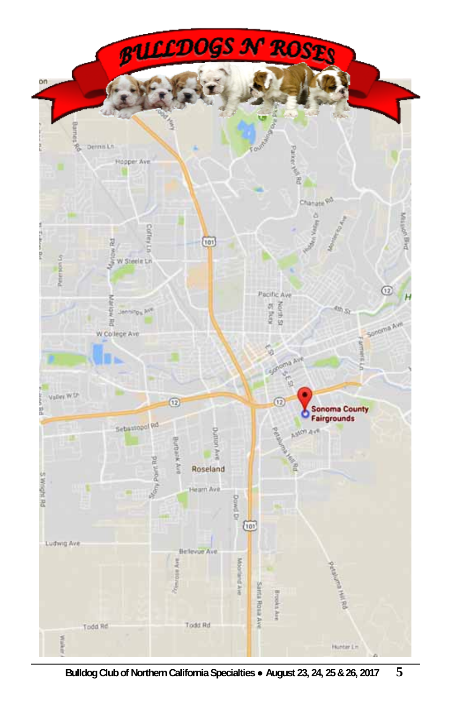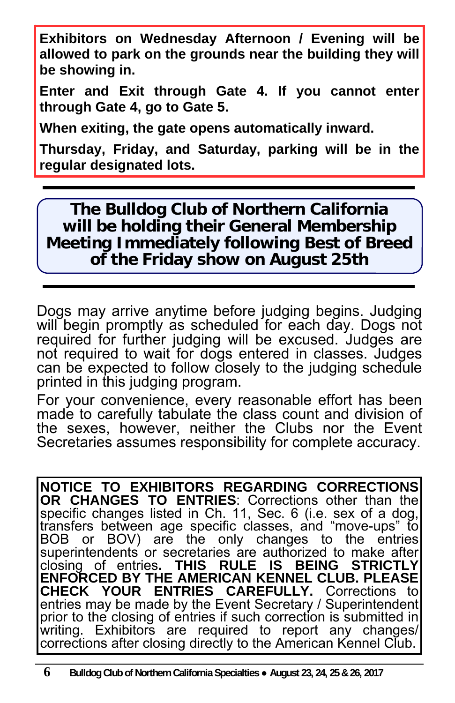**Exhibitors on Wednesday Afternoon / Evening will be allowed to park on the grounds near the building they will be showing in.** 

**Enter and Exit through Gate 4. If you cannot enter through Gate 4, go to Gate 5.** 

**When exiting, the gate opens automatically inward.** 

**Thursday, Friday, and Saturday, parking will be in the regular designated lots.** 

**The Bulldog Club of Northern California will be holding their General Membership Meeting Immediately following Best of Breed of the Friday show on August 25th**

Dogs may arrive anytime before judging begins. Judging will begin promptly as scheduled for each day. Dogs not required for further judging will be excused. Judges are not required to wait for dogs entered in classes. Judges can be expected to follow closely to the judging schedule printed in this judging program.

For your convenience, every reasonable effort has been made to carefully tabulate the class count and division of the sexes, however, neither the Clubs nor the Event Secretaries assumes responsibility for complete accuracy.

**NOTICE TO EXHIBITORS REGARDING CORRECTIONS OR CHANGES TO ENTRIES**: Corrections other than the specific changes listed in Ch. 11, Sec. 6 (i.e. sex of a dog, transfers between age specific classes, and "move-ups" to BOB or BOV) are the only changes to the entries superintendents or secretaries are authorized to make after closing of entries**. THIS RULE IS BEING STRICTLY ENFORCED BY THE AMERICAN KENNEL CLUB. PLEASE CHECK YOUR ENTRIES CAREFULLY.** Corrections to entries may be made by the Event Secretary / Superintendent prior to the closing of entries if such correction is submitted in writing. Exhibitors are required to report any changes/ corrections after closing directly to the American Kennel Club.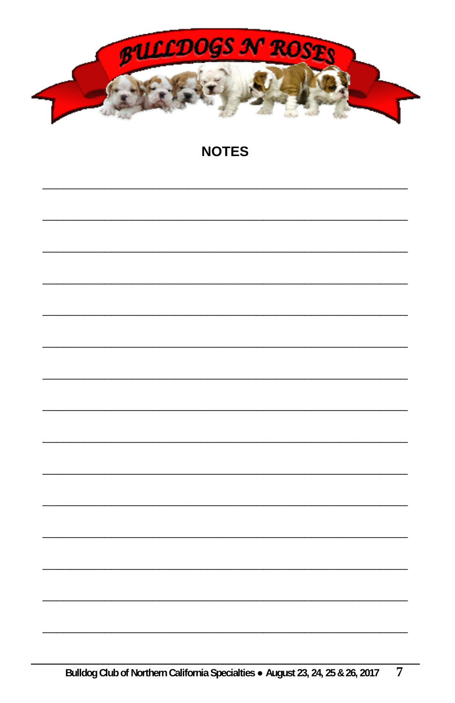

#### **NOTES**

|  | Bulldog Club of Northern California Specialties . August 23, 24, 25 & 26, 2017 |  |
|--|--------------------------------------------------------------------------------|--|
|  |                                                                                |  |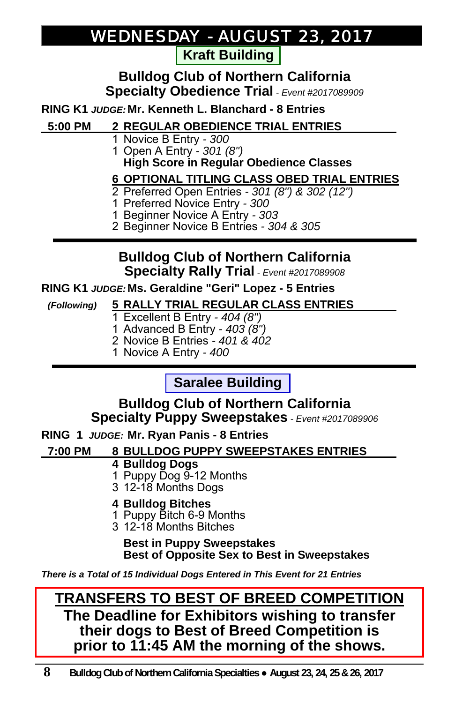### *WEDNESDAY - AUGUST 23, 2017*

**Kraft Building** 

#### **Bulldog Club of Northern California Specialty Obedience Trial** *- Event #2017089909*

**RING K1** *JUDGE:* **Mr. Kenneth L. Blanchard - 8 Entries** 

#### **5:00 PM 2 REGULAR OBEDIENCE TRIAL ENTRIES \_**

- 1 Novice B Entry *300*
- 1 Open A Entry *301 (8")*  **High Score in Regular Obedience Classes**

#### **6 OPTIONAL TITLING CLASS OBED TRIAL ENTRIES\_**

- 2 Preferred Open Entries *301 (8") & 302 (12")*
- 1 Preferred Novice Entry *300*
- 1 Beginner Novice A Entry *303*
- 2 Beginner Novice B Entries *304 & 305*

#### **Bulldog Club of Northern California Specialty Rally Trial** *- Event #2017089908*

#### **RING K1** *JUDGE:* **Ms. Geraldine "Geri" Lopez - 5 Entries**

- *(Following)* **5 RALLY TRIAL REGULAR CLASS ENTRIES \_** 1 Excellent B Entry *- 404 (8")*
	- 1 Advanced B Entry *403 (8")*
	- 2 Novice B Entries *401 & 402*
	- 1 Novice A Entry *400*

### **Saralee Building**

#### **Bulldog Club of Northern California Specialty Puppy Sweepstakes** *- Event #2017089906*

**RING 1** *JUDGE:* **Mr. Ryan Panis - 8 Entries** 

#### **7:00 PM 8 BULLDOG PUPPY SWEEPSTAKES ENTRIES \_**

#### **4 Bulldog Dogs**

- 1 Puppy Dog 9-12 Months
- 3 12-18 Months Dogs

#### **4 Bulldog Bitches**

- 1 Puppy Bitch 6-9 Months
- 3 12-18 Months Bitches

#### **Best in Puppy Sweepstakes Best of Opposite Sex to Best in Sweepstakes**

*There is a Total of 15 Individual Dogs Entered in This Event for 21 Entries* 

#### **TRANSFERS TO BEST OF BREED COMPETITION The Deadline for Exhibitors wishing to transfer their dogs to Best of Breed Competition is prior to 11:45 AM the morning of the shows.**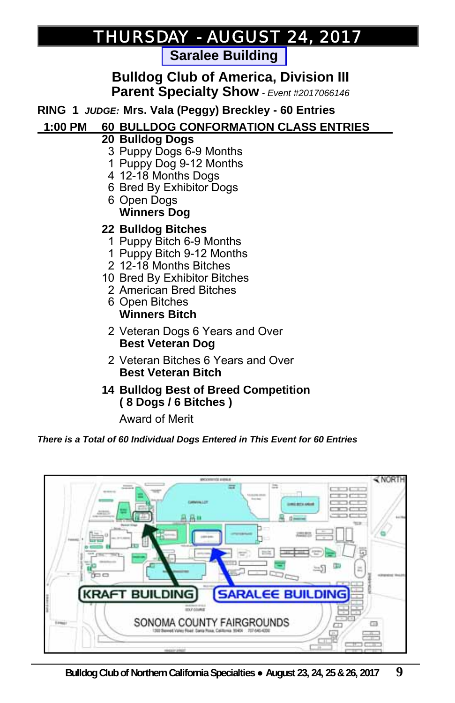### *THURSDAY THURSDAY - AUGUST 24, 2017 AUGUST 24, 2017*

**Saralee Building** 

**Bulldog Club of America, Division III Parent Specialty Show** *- Event #2017066146*

**RING 1** *JUDGE:* **Mrs. Vala (Peggy) Breckley - 60 Entries** 

#### **1:00 PM 60 BULLDOG CONFORMATION CLASS ENTRIES \_**

- **20 Bulldog Dogs** 
	- 3 Puppy Dogs 6-9 Months
	- 1 Puppy Dog 9-12 Months
- 4 12-18 Months Dogs
- 6 Bred By Exhibitor Dogs
- 6 Open Dogs  **Winners Dog**
- **22 Bulldog Bitches** 
	- 1 Puppy Bitch 6-9 Months
	- 1 Puppy Bitch 9-12 Months
	- 2 12-18 Months Bitches
- 10 Bred By Exhibitor Bitches
	- 2 American Bred Bitches
	- 6 Open Bitches  **Winners Bitch**
	- 2 Veteran Dogs 6 Years and Over  **Best Veteran Dog**
	- 2 Veteran Bitches 6 Years and Over  **Best Veteran Bitch**
- **14 Bulldog Best of Breed Competition ( 8 Dogs / 6 Bitches )**

Award of Merit

#### *There is a Total of 60 Individual Dogs Entered in This Event for 60 Entries*

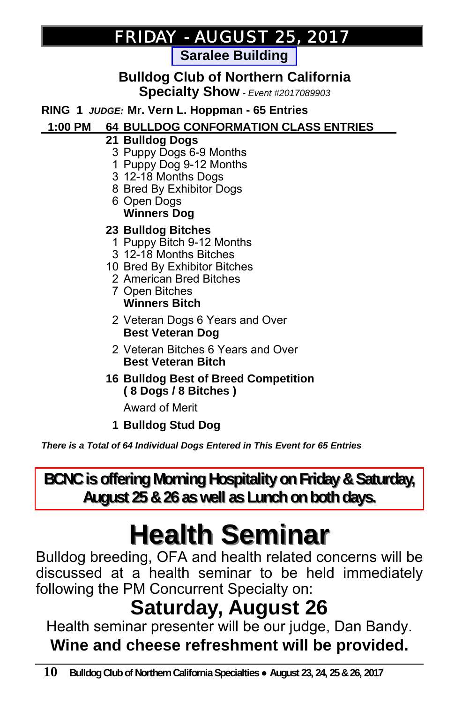### *FRIDAY - AUGUST 25, 2017 AUGUST 25, 2017*

**Saralee Building** 

#### **Bulldog Club of Northern California Specialty Show** *- Event #2017089903*

**RING 1** *JUDGE:* **Mr. Vern L. Hoppman - 65 Entries**

#### **1:00 PM 64 BULLDOG CONFORMATION CLASS ENTRIES \_**

- **21 Bulldog Dogs**
	- 3 Puppy Dogs 6-9 Months
	- 1 Puppy Dog 9-12 Months
	- 3 12-18 Months Dogs
	- 8 Bred By Exhibitor Dogs
	- 6 Open Dogs  **Winners Dog**

#### **23 Bulldog Bitches**

- 1 Puppy Bitch 9-12 Months
- 3 12-18 Months Bitches
- 10 Bred By Exhibitor Bitches
- 2 American Bred Bitches
- 7 Open Bitches  **Winners Bitch**
- 2 Veteran Dogs 6 Years and Over  **Best Veteran Dog**
- 2 Veteran Bitches 6 Years and Over  **Best Veteran Bitch**
- **16 Bulldog Best of Breed Competition ( 8 Dogs / 8 Bitches )**

Award of Merit

 **1 Bulldog Stud Dog**

*There is a Total of 64 Individual Dogs Entered in This Event for 65 Entries*

**BCNC is offering Morning Hospitality on Friday & Saturday, August 25 & 26 as well as Lunch on both days. August 25 & 26 as well as Lunch on both days.**

# **Health Seminar Health Seminar**

Bulldog breeding, OFA and health related concerns will be discussed at a health seminar to be held immediately following the PM Concurrent Specialty on:

## **Saturday, August 26**

Health seminar presenter will be our judge, Dan Bandy. **Wine and cheese refreshment will be provided.**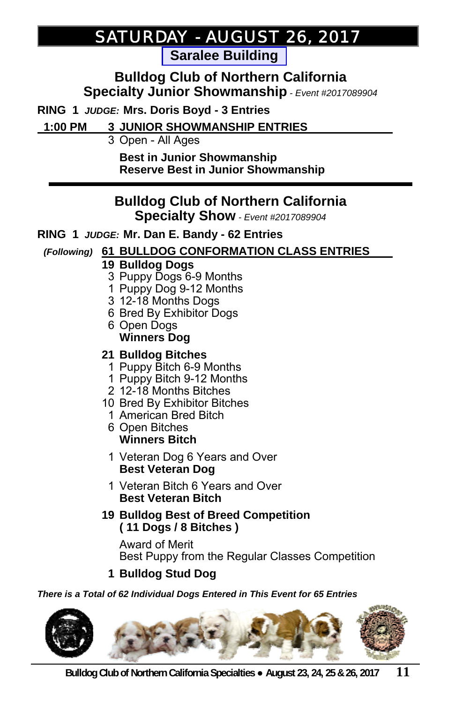### *SATURDAY SATURDAY - AUGUST 26, 2017 AUGUST 26, 2017*

**Saralee Building** 

**Bulldog Club of Northern California Specialty Junior Showmanship** *- Event #2017089904*

**RING 1** *JUDGE:* **Mrs. Doris Boyd - 3 Entries**

 **1:00 PM 3 JUNIOR SHOWMANSHIP ENTRIES \_**

3 Open - All Ages

 **Best in Junior Showmanship Reserve Best in Junior Showmanship**

### **Bulldog Club of Northern California**

**Specialty Show** *- Event #2017089904*

#### **RING 1** *JUDGE:* **Mr. Dan E. Bandy - 62 Entries**

#### *(Following)* **61 BULLDOG CONFORMATION CLASS ENTRIES \_**

#### **19 Bulldog Dogs**

- 3 Puppy Dogs 6-9 Months
- 1 Puppy Dog 9-12 Months
- 3 12-18 Months Dogs
- 6 Bred By Exhibitor Dogs
- 6 Open Dogs  **Winners Dog**

#### **21 Bulldog Bitches**

- 1 Puppy Bitch 6-9 Months
- 1 Puppy Bitch 9-12 Months
- 2 12-18 Months Bitches
- 10 Bred By Exhibitor Bitches
	- 1 American Bred Bitch
	- 6 Open Bitches  **Winners Bitch**
	- 1 Veteran Dog 6 Years and Over  **Best Veteran Dog**
	- 1 Veteran Bitch 6 Years and Over  **Best Veteran Bitch**
- **19 Bulldog Best of Breed Competition ( 11 Dogs / 8 Bitches )**

 Award of Merit Best Puppy from the Regular Classes Competition

 **1 Bulldog Stud Dog** 

#### *There is a Total of 62 Individual Dogs Entered in This Event for 65 Entries*